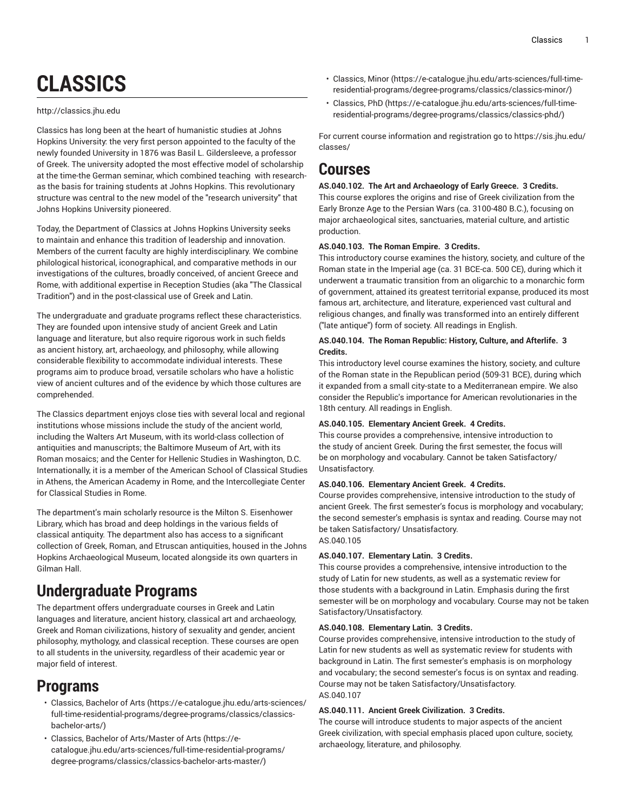# **CLASSICS**

## <http://classics.jhu.edu>

Classics has long been at the heart of humanistic studies at Johns Hopkins University: the very first person appointed to the faculty of the newly founded University in 1876 was Basil L. Gildersleeve, a professor of Greek. The university adopted the most effective model of scholarship at the time-the German seminar, which combined teaching with research as the basis for training students at Johns Hopkins. This revolutionary structure was central to the new model of the "research university" that Johns Hopkins University pioneered.

Today, the Department of Classics at Johns Hopkins University seeks to maintain and enhance this tradition of leadership and innovation. Members of the current faculty are highly interdisciplinary. We combine philological historical, iconographical, and comparative methods in our investigations of the cultures, broadly conceived, of ancient Greece and Rome, with additional expertise in Reception Studies (aka "The Classical Tradition") and in the post-classical use of Greek and Latin.

The undergraduate and graduate programs reflect these characteristics. They are founded upon intensive study of ancient Greek and Latin language and literature, but also require rigorous work in such fields as ancient history, art, archaeology, and philosophy, while allowing considerable flexibility to accommodate individual interests. These programs aim to produce broad, versatile scholars who have a holistic view of ancient cultures and of the evidence by which those cultures are comprehended.

The Classics department enjoys close ties with several local and regional institutions whose missions include the study of the ancient world, including the Walters Art Museum, with its world-class collection of antiquities and manuscripts; the Baltimore Museum of Art, with its Roman mosaics; and the Center for Hellenic Studies in Washington, D.C. Internationally, it is a member of the American School of Classical Studies in Athens, the American Academy in Rome, and the Intercollegiate Center for Classical Studies in Rome.

The department's main scholarly resource is the Milton S. Eisenhower Library, which has broad and deep holdings in the various fields of classical antiquity. The department also has access to a significant collection of Greek, Roman, and Etruscan antiquities, housed in the Johns Hopkins Archaeological Museum, located alongside its own quarters in Gilman Hall.

## **Undergraduate Programs**

The department offers undergraduate courses in Greek and Latin languages and literature, ancient history, classical art and archaeology, Greek and Roman civilizations, history of sexuality and gender, ancient philosophy, mythology, and classical reception. These courses are open to all students in the university, regardless of their academic year or major field of interest.

## **Programs**

- [Classics,](https://e-catalogue.jhu.edu/arts-sciences/full-time-residential-programs/degree-programs/classics/classics-bachelor-arts/) Bachelor of Arts [\(https://e-catalogue.jhu.edu/arts-sciences/](https://e-catalogue.jhu.edu/arts-sciences/full-time-residential-programs/degree-programs/classics/classics-bachelor-arts/) [full-time-residential-programs/degree-programs/classics/classics](https://e-catalogue.jhu.edu/arts-sciences/full-time-residential-programs/degree-programs/classics/classics-bachelor-arts/)[bachelor-arts/\)](https://e-catalogue.jhu.edu/arts-sciences/full-time-residential-programs/degree-programs/classics/classics-bachelor-arts/)
- Classics, Bachelor of [Arts/Master](https://e-catalogue.jhu.edu/arts-sciences/full-time-residential-programs/degree-programs/classics/classics-bachelor-arts-master/) of Arts [\(https://e](https://e-catalogue.jhu.edu/arts-sciences/full-time-residential-programs/degree-programs/classics/classics-bachelor-arts-master/)[catalogue.jhu.edu/arts-sciences/full-time-residential-programs/](https://e-catalogue.jhu.edu/arts-sciences/full-time-residential-programs/degree-programs/classics/classics-bachelor-arts-master/) [degree-programs/classics/classics-bachelor-arts-master/](https://e-catalogue.jhu.edu/arts-sciences/full-time-residential-programs/degree-programs/classics/classics-bachelor-arts-master/))
- [Classics, Minor](https://e-catalogue.jhu.edu/arts-sciences/full-time-residential-programs/degree-programs/classics/classics-minor/) ([https://e-catalogue.jhu.edu/arts-sciences/full-time](https://e-catalogue.jhu.edu/arts-sciences/full-time-residential-programs/degree-programs/classics/classics-minor/)[residential-programs/degree-programs/classics/classics-minor/](https://e-catalogue.jhu.edu/arts-sciences/full-time-residential-programs/degree-programs/classics/classics-minor/))
- [Classics, PhD](https://e-catalogue.jhu.edu/arts-sciences/full-time-residential-programs/degree-programs/classics/classics-phd/) ([https://e-catalogue.jhu.edu/arts-sciences/full-time](https://e-catalogue.jhu.edu/arts-sciences/full-time-residential-programs/degree-programs/classics/classics-phd/)[residential-programs/degree-programs/classics/classics-phd/\)](https://e-catalogue.jhu.edu/arts-sciences/full-time-residential-programs/degree-programs/classics/classics-phd/)

For current course information and registration go to [https://sis.jhu.edu/](https://sis.jhu.edu/classes/) [classes/](https://sis.jhu.edu/classes/)

## **Courses**

## **AS.040.102. The Art and Archaeology of Early Greece. 3 Credits.**

This course explores the origins and rise of Greek civilization from the Early Bronze Age to the Persian Wars (ca. 3100-480 B.C.), focusing on major archaeological sites, sanctuaries, material culture, and artistic production.

## **AS.040.103. The Roman Empire. 3 Credits.**

This introductory course examines the history, society, and culture of the Roman state in the Imperial age (ca. 31 BCE-ca. 500 CE), during which it underwent a traumatic transition from an oligarchic to a monarchic form of government, attained its greatest territorial expanse, produced its most famous art, architecture, and literature, experienced vast cultural and religious changes, and finally was transformed into an entirely different ("late antique") form of society. All readings in English.

## **AS.040.104. The Roman Republic: History, Culture, and Afterlife. 3 Credits.**

This introductory level course examines the history, society, and culture of the Roman state in the Republican period (509-31 BCE), during which it expanded from a small city-state to a Mediterranean empire. We also consider the Republic's importance for American revolutionaries in the 18th century. All readings in English.

## **AS.040.105. Elementary Ancient Greek. 4 Credits.**

This course provides a comprehensive, intensive introduction to the study of ancient Greek. During the first semester, the focus will be on morphology and vocabulary. Cannot be taken Satisfactory/ Unsatisfactory.

## **AS.040.106. Elementary Ancient Greek. 4 Credits.**

Course provides comprehensive, intensive introduction to the study of ancient Greek. The first semester's focus is morphology and vocabulary; the second semester's emphasis is syntax and reading. Course may not be taken Satisfactory/ Unsatisfactory. AS.040.105

## **AS.040.107. Elementary Latin. 3 Credits.**

This course provides a comprehensive, intensive introduction to the study of Latin for new students, as well as a systematic review for those students with a background in Latin. Emphasis during the first semester will be on morphology and vocabulary. Course may not be taken Satisfactory/Unsatisfactory.

## **AS.040.108. Elementary Latin. 3 Credits.**

Course provides comprehensive, intensive introduction to the study of Latin for new students as well as systematic review for students with background in Latin. The first semester's emphasis is on morphology and vocabulary; the second semester's focus is on syntax and reading. Course may not be taken Satisfactory/Unsatisfactory. AS.040.107

## **AS.040.111. Ancient Greek Civilization. 3 Credits.**

The course will introduce students to major aspects of the ancient Greek civilization, with special emphasis placed upon culture, society, archaeology, literature, and philosophy.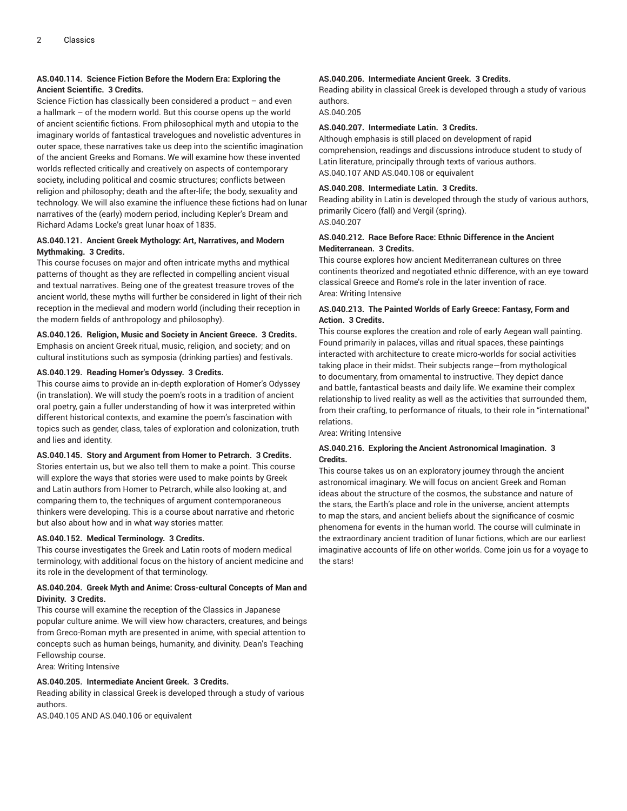## **AS.040.114. Science Fiction Before the Modern Era: Exploring the Ancient Scientific. 3 Credits.**

Science Fiction has classically been considered a product – and even a hallmark – of the modern world. But this course opens up the world of ancient scientific fictions. From philosophical myth and utopia to the imaginary worlds of fantastical travelogues and novelistic adventures in outer space, these narratives take us deep into the scientific imagination of the ancient Greeks and Romans. We will examine how these invented worlds reflected critically and creatively on aspects of contemporary society, including political and cosmic structures; conflicts between religion and philosophy; death and the after-life; the body, sexuality and technology. We will also examine the influence these fictions had on lunar narratives of the (early) modern period, including Kepler's Dream and Richard Adams Locke's great lunar hoax of 1835.

## **AS.040.121. Ancient Greek Mythology: Art, Narratives, and Modern Mythmaking. 3 Credits.**

This course focuses on major and often intricate myths and mythical patterns of thought as they are reflected in compelling ancient visual and textual narratives. Being one of the greatest treasure troves of the ancient world, these myths will further be considered in light of their rich reception in the medieval and modern world (including their reception in the modern fields of anthropology and philosophy).

## **AS.040.126. Religion, Music and Society in Ancient Greece. 3 Credits.**

Emphasis on ancient Greek ritual, music, religion, and society; and on cultural institutions such as symposia (drinking parties) and festivals.

## **AS.040.129. Reading Homer's Odyssey. 3 Credits.**

This course aims to provide an in-depth exploration of Homer's Odyssey (in translation). We will study the poem's roots in a tradition of ancient oral poetry, gain a fuller understanding of how it was interpreted within different historical contexts, and examine the poem's fascination with topics such as gender, class, tales of exploration and colonization, truth and lies and identity.

## **AS.040.145. Story and Argument from Homer to Petrarch. 3 Credits.**

Stories entertain us, but we also tell them to make a point. This course will explore the ways that stories were used to make points by Greek and Latin authors from Homer to Petrarch, while also looking at, and comparing them to, the techniques of argument contemporaneous thinkers were developing. This is a course about narrative and rhetoric but also about how and in what way stories matter.

## **AS.040.152. Medical Terminology. 3 Credits.**

This course investigates the Greek and Latin roots of modern medical terminology, with additional focus on the history of ancient medicine and its role in the development of that terminology.

## **AS.040.204. Greek Myth and Anime: Cross-cultural Concepts of Man and Divinity. 3 Credits.**

This course will examine the reception of the Classics in Japanese popular culture anime. We will view how characters, creatures, and beings from Greco-Roman myth are presented in anime, with special attention to concepts such as human beings, humanity, and divinity. Dean's Teaching Fellowship course.

Area: Writing Intensive

## **AS.040.205. Intermediate Ancient Greek. 3 Credits.**

Reading ability in classical Greek is developed through a study of various authors.

AS.040.105 AND AS.040.106 or equivalent

## **AS.040.206. Intermediate Ancient Greek. 3 Credits.**

Reading ability in classical Greek is developed through a study of various authors.

AS.040.205

## **AS.040.207. Intermediate Latin. 3 Credits.**

Although emphasis is still placed on development of rapid comprehension, readings and discussions introduce student to study of Latin literature, principally through texts of various authors. AS.040.107 AND AS.040.108 or equivalent

## **AS.040.208. Intermediate Latin. 3 Credits.**

Reading ability in Latin is developed through the study of various authors, primarily Cicero (fall) and Vergil (spring). AS.040.207

## **AS.040.212. Race Before Race: Ethnic Difference in the Ancient Mediterranean. 3 Credits.**

This course explores how ancient Mediterranean cultures on three continents theorized and negotiated ethnic difference, with an eye toward classical Greece and Rome's role in the later invention of race. Area: Writing Intensive

## **AS.040.213. The Painted Worlds of Early Greece: Fantasy, Form and Action. 3 Credits.**

This course explores the creation and role of early Aegean wall painting. Found primarily in palaces, villas and ritual spaces, these paintings interacted with architecture to create micro-worlds for social activities taking place in their midst. Their subjects range—from mythological to documentary, from ornamental to instructive. They depict dance and battle, fantastical beasts and daily life. We examine their complex relationship to lived reality as well as the activities that surrounded them, from their crafting, to performance of rituals, to their role in "international" relations.

Area: Writing Intensive

## **AS.040.216. Exploring the Ancient Astronomical Imagination. 3 Credits.**

This course takes us on an exploratory journey through the ancient astronomical imaginary. We will focus on ancient Greek and Roman ideas about the structure of the cosmos, the substance and nature of the stars, the Earth's place and role in the universe, ancient attempts to map the stars, and ancient beliefs about the significance of cosmic phenomena for events in the human world. The course will culminate in the extraordinary ancient tradition of lunar fictions, which are our earliest imaginative accounts of life on other worlds. Come join us for a voyage to the stars!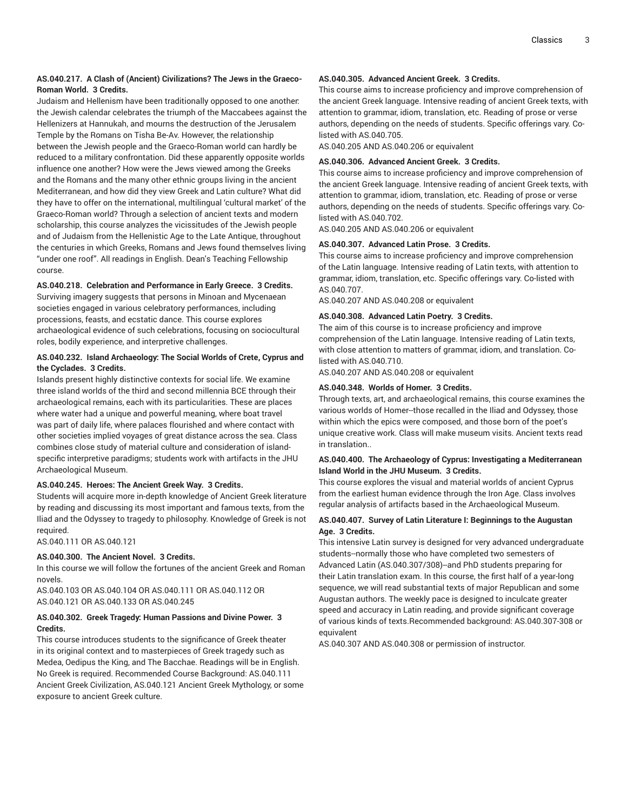## **AS.040.217. A Clash of (Ancient) Civilizations? The Jews in the Graeco-Roman World. 3 Credits.**

Judaism and Hellenism have been traditionally opposed to one another: the Jewish calendar celebrates the triumph of the Maccabees against the Hellenizers at Hannukah, and mourns the destruction of the Jerusalem Temple by the Romans on Tisha Be-Av. However, the relationship between the Jewish people and the Graeco-Roman world can hardly be reduced to a military confrontation. Did these apparently opposite worlds influence one another? How were the Jews viewed among the Greeks and the Romans and the many other ethnic groups living in the ancient Mediterranean, and how did they view Greek and Latin culture? What did they have to offer on the international, multilingual 'cultural market' of the Graeco-Roman world? Through a selection of ancient texts and modern scholarship, this course analyzes the vicissitudes of the Jewish people and of Judaism from the Hellenistic Age to the Late Antique, throughout the centuries in which Greeks, Romans and Jews found themselves living "under one roof". All readings in English. Dean's Teaching Fellowship course.

**AS.040.218. Celebration and Performance in Early Greece. 3 Credits.** Surviving imagery suggests that persons in Minoan and Mycenaean societies engaged in various celebratory performances, including processions, feasts, and ecstatic dance. This course explores archaeological evidence of such celebrations, focusing on sociocultural roles, bodily experience, and interpretive challenges.

## **AS.040.232. Island Archaeology: The Social Worlds of Crete, Cyprus and the Cyclades. 3 Credits.**

Islands present highly distinctive contexts for social life. We examine three island worlds of the third and second millennia BCE through their archaeological remains, each with its particularities. These are places where water had a unique and powerful meaning, where boat travel was part of daily life, where palaces flourished and where contact with other societies implied voyages of great distance across the sea. Class combines close study of material culture and consideration of islandspecific interpretive paradigms; students work with artifacts in the JHU Archaeological Museum.

## **AS.040.245. Heroes: The Ancient Greek Way. 3 Credits.**

Students will acquire more in-depth knowledge of Ancient Greek literature by reading and discussing its most important and famous texts, from the Iliad and the Odyssey to tragedy to philosophy. Knowledge of Greek is not required.

AS.040.111 OR AS.040.121

## **AS.040.300. The Ancient Novel. 3 Credits.**

In this course we will follow the fortunes of the ancient Greek and Roman novels.

AS.040.103 OR AS.040.104 OR AS.040.111 OR AS.040.112 OR AS.040.121 OR AS.040.133 OR AS.040.245

## **AS.040.302. Greek Tragedy: Human Passions and Divine Power. 3 Credits.**

This course introduces students to the significance of Greek theater in its original context and to masterpieces of Greek tragedy such as Medea, Oedipus the King, and The Bacchae. Readings will be in English. No Greek is required. Recommended Course Background: AS.040.111 Ancient Greek Civilization, AS.040.121 Ancient Greek Mythology, or some exposure to ancient Greek culture.

## **AS.040.305. Advanced Ancient Greek. 3 Credits.**

This course aims to increase proficiency and improve comprehension of the ancient Greek language. Intensive reading of ancient Greek texts, with attention to grammar, idiom, translation, etc. Reading of prose or verse authors, depending on the needs of students. Specific offerings vary. Colisted with AS.040.705.

AS.040.205 AND AS.040.206 or equivalent

## **AS.040.306. Advanced Ancient Greek. 3 Credits.**

This course aims to increase proficiency and improve comprehension of the ancient Greek language. Intensive reading of ancient Greek texts, with attention to grammar, idiom, translation, etc. Reading of prose or verse authors, depending on the needs of students. Specific offerings vary. Colisted with AS.040.702.

AS.040.205 AND AS.040.206 or equivalent

## **AS.040.307. Advanced Latin Prose. 3 Credits.**

This course aims to increase proficiency and improve comprehension of the Latin language. Intensive reading of Latin texts, with attention to grammar, idiom, translation, etc. Specific offerings vary. Co-listed with AS.040.707.

AS.040.207 AND AS.040.208 or equivalent

## **AS.040.308. Advanced Latin Poetry. 3 Credits.**

The aim of this course is to increase proficiency and improve comprehension of the Latin language. Intensive reading of Latin texts, with close attention to matters of grammar, idiom, and translation. Colisted with AS.040.710.

AS.040.207 AND AS.040.208 or equivalent

## **AS.040.348. Worlds of Homer. 3 Credits.**

Through texts, art, and archaeological remains, this course examines the various worlds of Homer--those recalled in the Iliad and Odyssey, those within which the epics were composed, and those born of the poet's unique creative work. Class will make museum visits. Ancient texts read in translation..

## **AS.040.400. The Archaeology of Cyprus: Investigating a Mediterranean Island World in the JHU Museum. 3 Credits.**

This course explores the visual and material worlds of ancient Cyprus from the earliest human evidence through the Iron Age. Class involves regular analysis of artifacts based in the Archaeological Museum.

## **AS.040.407. Survey of Latin Literature I: Beginnings to the Augustan Age. 3 Credits.**

This intensive Latin survey is designed for very advanced undergraduate students--normally those who have completed two semesters of Advanced Latin (AS.040.307/308)--and PhD students preparing for their Latin translation exam. In this course, the first half of a year-long sequence, we will read substantial texts of major Republican and some Augustan authors. The weekly pace is designed to inculcate greater speed and accuracy in Latin reading, and provide significant coverage of various kinds of texts.Recommended background: AS.040.307-308 or equivalent

AS.040.307 AND AS.040.308 or permission of instructor.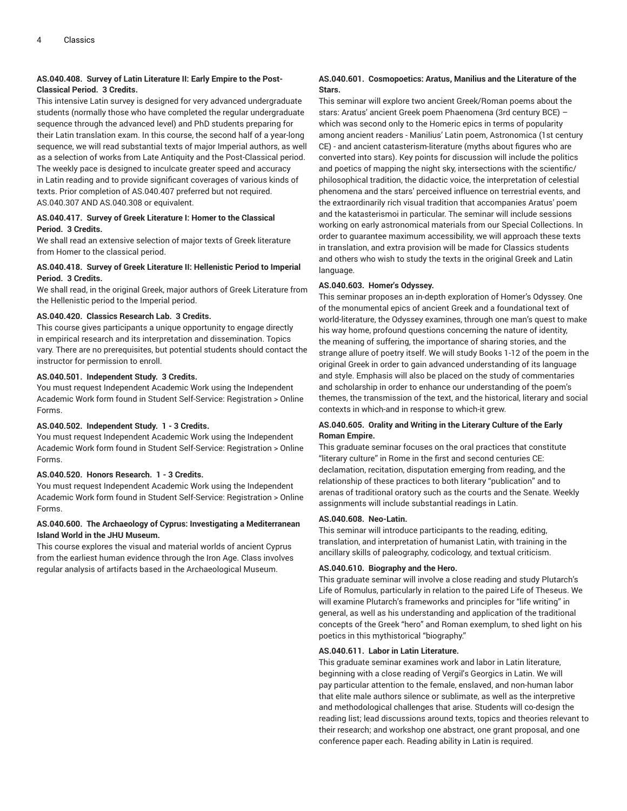## **AS.040.408. Survey of Latin Literature II: Early Empire to the Post-Classical Period. 3 Credits.**

This intensive Latin survey is designed for very advanced undergraduate students (normally those who have completed the regular undergraduate sequence through the advanced level) and PhD students preparing for their Latin translation exam. In this course, the second half of a year-long sequence, we will read substantial texts of major Imperial authors, as well as a selection of works from Late Antiquity and the Post-Classical period. The weekly pace is designed to inculcate greater speed and accuracy in Latin reading and to provide significant coverages of various kinds of texts. Prior completion of AS.040.407 preferred but not required. AS.040.307 AND AS.040.308 or equivalent.

## **AS.040.417. Survey of Greek Literature I: Homer to the Classical Period. 3 Credits.**

We shall read an extensive selection of major texts of Greek literature from Homer to the classical period.

## **AS.040.418. Survey of Greek Literature II: Hellenistic Period to Imperial Period. 3 Credits.**

We shall read, in the original Greek, major authors of Greek Literature from the Hellenistic period to the Imperial period.

## **AS.040.420. Classics Research Lab. 3 Credits.**

This course gives participants a unique opportunity to engage directly in empirical research and its interpretation and dissemination. Topics vary. There are no prerequisites, but potential students should contact the instructor for permission to enroll.

## **AS.040.501. Independent Study. 3 Credits.**

You must request Independent Academic Work using the Independent Academic Work form found in Student Self-Service: Registration > Online Forms.

## **AS.040.502. Independent Study. 1 - 3 Credits.**

You must request Independent Academic Work using the Independent Academic Work form found in Student Self-Service: Registration > Online Forms.

## **AS.040.520. Honors Research. 1 - 3 Credits.**

You must request Independent Academic Work using the Independent Academic Work form found in Student Self-Service: Registration > Online Forms.

## **AS.040.600. The Archaeology of Cyprus: Investigating a Mediterranean Island World in the JHU Museum.**

This course explores the visual and material worlds of ancient Cyprus from the earliest human evidence through the Iron Age. Class involves regular analysis of artifacts based in the Archaeological Museum.

## **AS.040.601. Cosmopoetics: Aratus, Manilius and the Literature of the Stars.**

This seminar will explore two ancient Greek/Roman poems about the stars: Aratus' ancient Greek poem Phaenomena (3rd century BCE) – which was second only to the Homeric epics in terms of popularity among ancient readers - Manilius' Latin poem, Astronomica (1st century CE) - and ancient catasterism-literature (myths about figures who are converted into stars). Key points for discussion will include the politics and poetics of mapping the night sky, intersections with the scientific/ philosophical tradition, the didactic voice, the interpretation of celestial phenomena and the stars' perceived influence on terrestrial events, and the extraordinarily rich visual tradition that accompanies Aratus' poem and the katasterismoi in particular. The seminar will include sessions working on early astronomical materials from our Special Collections. In order to guarantee maximum accessibility, we will approach these texts in translation, and extra provision will be made for Classics students and others who wish to study the texts in the original Greek and Latin language.

## **AS.040.603. Homer's Odyssey.**

This seminar proposes an in-depth exploration of Homer's Odyssey. One of the monumental epics of ancient Greek and a foundational text of world-literature, the Odyssey examines, through one man's quest to make his way home, profound questions concerning the nature of identity, the meaning of suffering, the importance of sharing stories, and the strange allure of poetry itself. We will study Books 1-12 of the poem in the original Greek in order to gain advanced understanding of its language and style. Emphasis will also be placed on the study of commentaries and scholarship in order to enhance our understanding of the poem's themes, the transmission of the text, and the historical, literary and social contexts in which-and in response to which-it grew.

## **AS.040.605. Orality and Writing in the Literary Culture of the Early Roman Empire.**

This graduate seminar focuses on the oral practices that constitute "literary culture" in Rome in the first and second centuries CE: declamation, recitation, disputation emerging from reading, and the relationship of these practices to both literary "publication" and to arenas of traditional oratory such as the courts and the Senate. Weekly assignments will include substantial readings in Latin.

## **AS.040.608. Neo-Latin.**

This seminar will introduce participants to the reading, editing, translation, and interpretation of humanist Latin, with training in the ancillary skills of paleography, codicology, and textual criticism.

## **AS.040.610. Biography and the Hero.**

This graduate seminar will involve a close reading and study Plutarch's Life of Romulus, particularly in relation to the paired Life of Theseus. We will examine Plutarch's frameworks and principles for "life writing" in general, as well as his understanding and application of the traditional concepts of the Greek "hero" and Roman exemplum, to shed light on his poetics in this mythistorical "biography."

## **AS.040.611. Labor in Latin Literature.**

This graduate seminar examines work and labor in Latin literature, beginning with a close reading of Vergil's Georgics in Latin. We will pay particular attention to the female, enslaved, and non-human labor that elite male authors silence or sublimate, as well as the interpretive and methodological challenges that arise. Students will co-design the reading list; lead discussions around texts, topics and theories relevant to their research; and workshop one abstract, one grant proposal, and one conference paper each. Reading ability in Latin is required.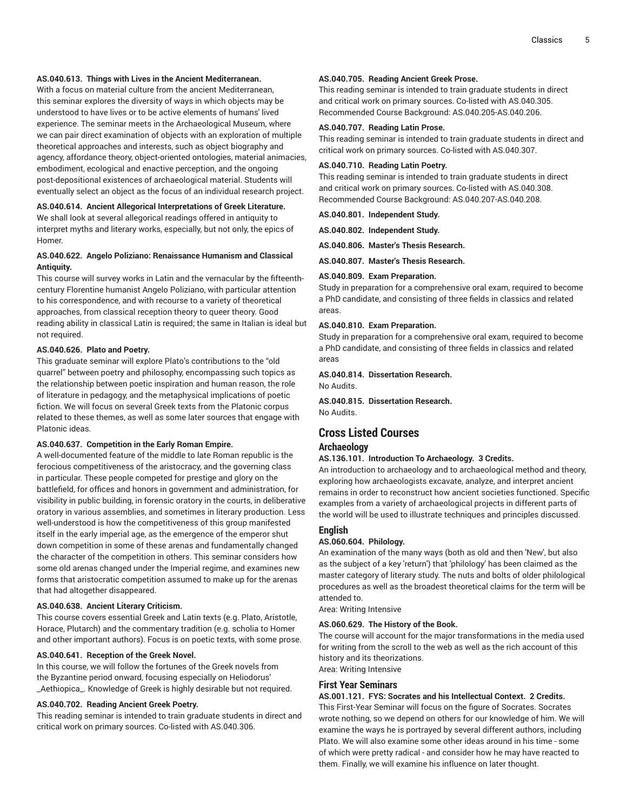## **AS.040.613. Things with Lives in the Ancient Mediterranean.**

With a focus on material culture from the ancient Mediterranean, this seminar explores the diversity of ways in which objects may be understood to have lives or to be active elements of humans' lived experience. The seminar meets in the Archaeological Museum, where we can pair direct examination of objects with an exploration of multiple theoretical approaches and interests, such as object biography and agency, affordance theory, object-oriented ontologies, material animacies, embodiment, ecological and enactive perception, and the ongoing post-depositional existences of archaeological material. Students will eventually select an object as the focus of an individual research project.

## **AS.040.614. Ancient Allegorical Interpretations of Greek Literature.**

We shall look at several allegorical readings offered in antiquity to interpret myths and literary works, especially, but not only, the epics of Homer.

## **AS.040.622. Angelo Poliziano: Renaissance Humanism and Classical Antiquity.**

This course will survey works in Latin and the vernacular by the fifteenthcentury Florentine humanist Angelo Poliziano, with particular attention to his correspondence, and with recourse to a variety of theoretical approaches, from classical reception theory to queer theory. Good reading ability in classical Latin is required; the same in Italian is ideal but not required.

#### **AS.040.626. Plato and Poetry.**

This graduate seminar will explore Plato's contributions to the "old quarrel" between poetry and philosophy, encompassing such topics as the relationship between poetic inspiration and human reason, the role of literature in pedagogy, and the metaphysical implications of poetic fiction. We will focus on several Greek texts from the Platonic corpus related to these themes, as well as some later sources that engage with Platonic ideas.

#### **AS.040.637. Competition in the Early Roman Empire.**

A well-documented feature of the middle to late Roman republic is the ferocious competitiveness of the aristocracy, and the governing class in particular. These people competed for prestige and glory on the battlefield, for offices and honors in government and administration, for visibility in public building, in forensic oratory in the courts, in deliberative oratory in various assemblies, and sometimes in literary production. Less well-understood is how the competitiveness of this group manifested itself in the early imperial age, as the emergence of the emperor shut down competition in some of these arenas and fundamentally changed the character of the competition in others. This seminar considers how some old arenas changed under the Imperial regime, and examines new forms that aristocratic competition assumed to make up for the arenas that had altogether disappeared.

#### **AS.040.638. Ancient Literary Criticism.**

This course covers essential Greek and Latin texts (e.g. Plato, Aristotle, Horace, Plutarch) and the commentary tradition (e.g. scholia to Homer and other important authors). Focus is on poetic texts, with some prose.

#### **AS.040.641. Reception of the Greek Novel.**

In this course, we will follow the fortunes of the Greek novels from the Byzantine period onward, focusing especially on Heliodorus' \_Aethiopica\_. Knowledge of Greek is highly desirable but not required.

#### **AS.040.702. Reading Ancient Greek Poetry.**

This reading seminar is intended to train graduate students in direct and critical work on primary sources. Co-listed with AS.040.306.

## **AS.040.705. Reading Ancient Greek Prose.**

This reading seminar is intended to train graduate students in direct and critical work on primary sources. Co-listed with AS.040.305. Recommended Course Background: AS.040.205-AS.040.206.

#### **AS.040.707. Reading Latin Prose.**

This reading seminar is intended to train graduate students in direct and critical work on primary sources. Co-listed with AS.040.307.

#### **AS.040.710. Reading Latin Poetry.**

This reading seminar is intended to train graduate students in direct and critical work on primary sources. Co-listed with AS.040.308. Recommended Course Background: AS.040.207-AS.040.208.

**AS.040.801. Independent Study.**

**AS.040.802. Independent Study.**

**AS.040.806. Master's Thesis Research.**

**AS.040.807. Master's Thesis Research.**

## **AS.040.809. Exam Preparation.**

Study in preparation for a comprehensive oral exam, required to become a PhD candidate, and consisting of three fields in classics and related areas.

#### **AS.040.810. Exam Preparation.**

Study in preparation for a comprehensive oral exam, required to become a PhD candidate, and consisting of three fields in classics and related areas

**AS.040.814. Dissertation Research.** No Audits.

**AS.040.815. Dissertation Research.** No Audits.

## **Cross Listed Courses**

## **Archaeology**

#### **AS.136.101. Introduction To Archaeology. 3 Credits.**

An introduction to archaeology and to archaeological method and theory, exploring how archaeologists excavate, analyze, and interpret ancient remains in order to reconstruct how ancient societies functioned. Specific examples from a variety of archaeological projects in different parts of the world will be used to illustrate techniques and principles discussed.

#### **English**

## **AS.060.604. Philology.**

An examination of the many ways (both as old and then 'New', but also as the subject of a key 'return') that 'philology' has been claimed as the master category of literary study. The nuts and bolts of older philological procedures as well as the broadest theoretical claims for the term will be attended to.

Area: Writing Intensive

#### **AS.060.629. The History of the Book.**

The course will account for the major transformations in the media used for writing from the scroll to the web as well as the rich account of this history and its theorizations.

Area: Writing Intensive

## **First Year Seminars**

#### **AS.001.121. FYS: Socrates and his Intellectual Context. 2 Credits.**

This First-Year Seminar will focus on the figure of Socrates. Socrates wrote nothing, so we depend on others for our knowledge of him. We will examine the ways he is portrayed by several different authors, including Plato. We will also examine some other ideas around in his time - some of which were pretty radical - and consider how he may have reacted to them. Finally, we will examine his influence on later thought.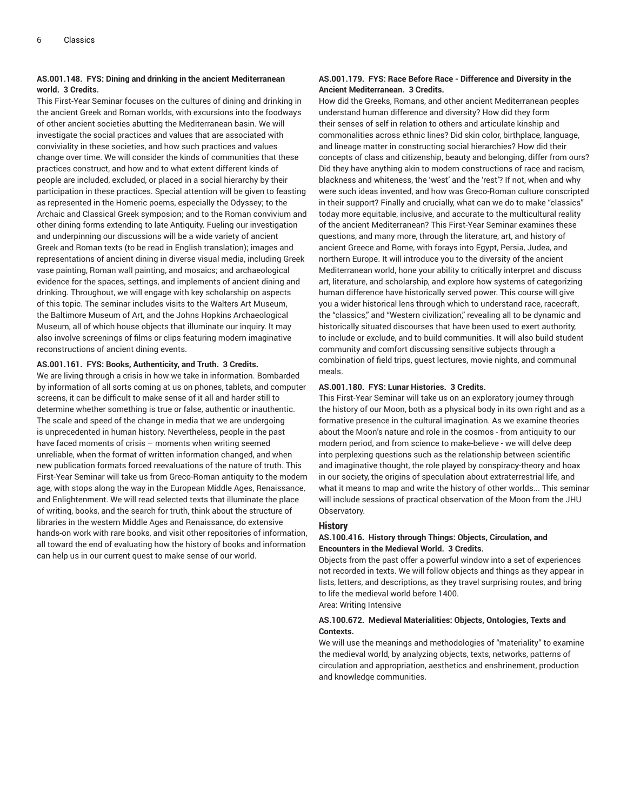## **AS.001.148. FYS: Dining and drinking in the ancient Mediterranean world. 3 Credits.**

This First-Year Seminar focuses on the cultures of dining and drinking in the ancient Greek and Roman worlds, with excursions into the foodways of other ancient societies abutting the Mediterranean basin. We will investigate the social practices and values that are associated with conviviality in these societies, and how such practices and values change over time. We will consider the kinds of communities that these practices construct, and how and to what extent different kinds of people are included, excluded, or placed in a social hierarchy by their participation in these practices. Special attention will be given to feasting as represented in the Homeric poems, especially the Odyssey; to the Archaic and Classical Greek symposion; and to the Roman convivium and other dining forms extending to late Antiquity. Fueling our investigation and underpinning our discussions will be a wide variety of ancient Greek and Roman texts (to be read in English translation); images and representations of ancient dining in diverse visual media, including Greek vase painting, Roman wall painting, and mosaics; and archaeological evidence for the spaces, settings, and implements of ancient dining and drinking. Throughout, we will engage with key scholarship on aspects of this topic. The seminar includes visits to the Walters Art Museum, the Baltimore Museum of Art, and the Johns Hopkins Archaeological Museum, all of which house objects that illuminate our inquiry. It may also involve screenings of films or clips featuring modern imaginative reconstructions of ancient dining events.

## **AS.001.161. FYS: Books, Authenticity, and Truth. 3 Credits.**

We are living through a crisis in how we take in information. Bombarded by information of all sorts coming at us on phones, tablets, and computer screens, it can be difficult to make sense of it all and harder still to determine whether something is true or false, authentic or inauthentic. The scale and speed of the change in media that we are undergoing is unprecedented in human history. Nevertheless, people in the past have faced moments of crisis – moments when writing seemed unreliable, when the format of written information changed, and when new publication formats forced reevaluations of the nature of truth. This First-Year Seminar will take us from Greco-Roman antiquity to the modern age, with stops along the way in the European Middle Ages, Renaissance, and Enlightenment. We will read selected texts that illuminate the place of writing, books, and the search for truth, think about the structure of libraries in the western Middle Ages and Renaissance, do extensive hands-on work with rare books, and visit other repositories of information, all toward the end of evaluating how the history of books and information can help us in our current quest to make sense of our world.

## **AS.001.179. FYS: Race Before Race - Difference and Diversity in the Ancient Mediterranean. 3 Credits.**

How did the Greeks, Romans, and other ancient Mediterranean peoples understand human difference and diversity? How did they form their senses of self in relation to others and articulate kinship and commonalities across ethnic lines? Did skin color, birthplace, language, and lineage matter in constructing social hierarchies? How did their concepts of class and citizenship, beauty and belonging, differ from ours? Did they have anything akin to modern constructions of race and racism, blackness and whiteness, the 'west' and the 'rest'? If not, when and why were such ideas invented, and how was Greco-Roman culture conscripted in their support? Finally and crucially, what can we do to make "classics" today more equitable, inclusive, and accurate to the multicultural reality of the ancient Mediterranean? This First-Year Seminar examines these questions, and many more, through the literature, art, and history of ancient Greece and Rome, with forays into Egypt, Persia, Judea, and northern Europe. It will introduce you to the diversity of the ancient Mediterranean world, hone your ability to critically interpret and discuss art, literature, and scholarship, and explore how systems of categorizing human difference have historically served power. This course will give you a wider historical lens through which to understand race, racecraft, the "classics," and "Western civilization," revealing all to be dynamic and historically situated discourses that have been used to exert authority, to include or exclude, and to build communities. It will also build student community and comfort discussing sensitive subjects through a combination of field trips, guest lectures, movie nights, and communal meals.

#### **AS.001.180. FYS: Lunar Histories. 3 Credits.**

This First-Year Seminar will take us on an exploratory journey through the history of our Moon, both as a physical body in its own right and as a formative presence in the cultural imagination. As we examine theories about the Moon's nature and role in the cosmos - from antiquity to our modern period, and from science to make-believe - we will delve deep into perplexing questions such as the relationship between scientific and imaginative thought, the role played by conspiracy-theory and hoax in our society, the origins of speculation about extraterrestrial life, and what it means to map and write the history of other worlds... This seminar will include sessions of practical observation of the Moon from the JHU Observatory.

## **History**

#### **AS.100.416. History through Things: Objects, Circulation, and Encounters in the Medieval World. 3 Credits.**

Objects from the past offer a powerful window into a set of experiences not recorded in texts. We will follow objects and things as they appear in lists, letters, and descriptions, as they travel surprising routes, and bring to life the medieval world before 1400. Area: Writing Intensive

#### **AS.100.672. Medieval Materialities: Objects, Ontologies, Texts and Contexts.**

We will use the meanings and methodologies of "materiality" to examine the medieval world, by analyzing objects, texts, networks, patterns of circulation and appropriation, aesthetics and enshrinement, production and knowledge communities.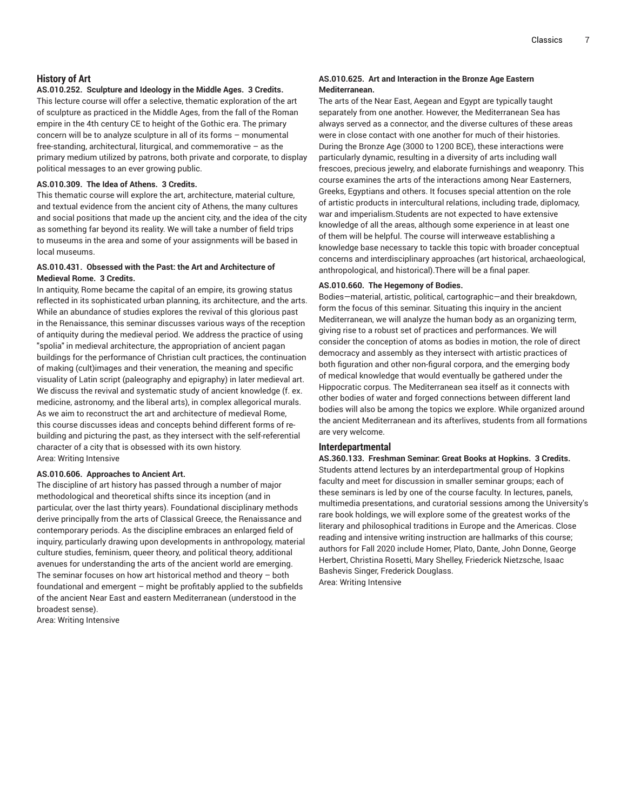## **History of Art**

#### **AS.010.252. Sculpture and Ideology in the Middle Ages. 3 Credits.**

This lecture course will offer a selective, thematic exploration of the art of sculpture as practiced in the Middle Ages, from the fall of the Roman empire in the 4th century CE to height of the Gothic era. The primary concern will be to analyze sculpture in all of its forms – monumental free-standing, architectural, liturgical, and commemorative – as the primary medium utilized by patrons, both private and corporate, to display political messages to an ever growing public.

## **AS.010.309. The Idea of Athens. 3 Credits.**

This thematic course will explore the art, architecture, material culture, and textual evidence from the ancient city of Athens, the many cultures and social positions that made up the ancient city, and the idea of the city as something far beyond its reality. We will take a number of field trips to museums in the area and some of your assignments will be based in local museums.

## **AS.010.431. Obsessed with the Past: the Art and Architecture of Medieval Rome. 3 Credits.**

In antiquity, Rome became the capital of an empire, its growing status reflected in its sophisticated urban planning, its architecture, and the arts. While an abundance of studies explores the revival of this glorious past in the Renaissance, this seminar discusses various ways of the reception of antiquity during the medieval period. We address the practice of using "spolia" in medieval architecture, the appropriation of ancient pagan buildings for the performance of Christian cult practices, the continuation of making (cult)images and their veneration, the meaning and specific visuality of Latin script (paleography and epigraphy) in later medieval art. We discuss the revival and systematic study of ancient knowledge (f. ex. medicine, astronomy, and the liberal arts), in complex allegorical murals. As we aim to reconstruct the art and architecture of medieval Rome, this course discusses ideas and concepts behind different forms of rebuilding and picturing the past, as they intersect with the self-referential character of a city that is obsessed with its own history. Area: Writing Intensive

#### **AS.010.606. Approaches to Ancient Art.**

The discipline of art history has passed through a number of major methodological and theoretical shifts since its inception (and in particular, over the last thirty years). Foundational disciplinary methods derive principally from the arts of Classical Greece, the Renaissance and contemporary periods. As the discipline embraces an enlarged field of inquiry, particularly drawing upon developments in anthropology, material culture studies, feminism, queer theory, and political theory, additional avenues for understanding the arts of the ancient world are emerging. The seminar focuses on how art historical method and theory – both foundational and emergent – might be profitably applied to the subfields of the ancient Near East and eastern Mediterranean (understood in the broadest sense).

Area: Writing Intensive

## **AS.010.625. Art and Interaction in the Bronze Age Eastern Mediterranean.**

The arts of the Near East, Aegean and Egypt are typically taught separately from one another. However, the Mediterranean Sea has always served as a connector, and the diverse cultures of these areas were in close contact with one another for much of their histories. During the Bronze Age (3000 to 1200 BCE), these interactions were particularly dynamic, resulting in a diversity of arts including wall frescoes, precious jewelry, and elaborate furnishings and weaponry. This course examines the arts of the interactions among Near Easterners, Greeks, Egyptians and others. It focuses special attention on the role of artistic products in intercultural relations, including trade, diplomacy, war and imperialism.Students are not expected to have extensive knowledge of all the areas, although some experience in at least one of them will be helpful. The course will interweave establishing a knowledge base necessary to tackle this topic with broader conceptual concerns and interdisciplinary approaches (art historical, archaeological, anthropological, and historical).There will be a final paper.

## **AS.010.660. The Hegemony of Bodies.**

Bodies—material, artistic, political, cartographic—and their breakdown, form the focus of this seminar. Situating this inquiry in the ancient Mediterranean, we will analyze the human body as an organizing term, giving rise to a robust set of practices and performances. We will consider the conception of atoms as bodies in motion, the role of direct democracy and assembly as they intersect with artistic practices of both figuration and other non-figural corpora, and the emerging body of medical knowledge that would eventually be gathered under the Hippocratic corpus. The Mediterranean sea itself as it connects with other bodies of water and forged connections between different land bodies will also be among the topics we explore. While organized around the ancient Mediterranean and its afterlives, students from all formations are very welcome.

## **Interdepartmental**

**AS.360.133. Freshman Seminar: Great Books at Hopkins. 3 Credits.** Students attend lectures by an interdepartmental group of Hopkins faculty and meet for discussion in smaller seminar groups; each of these seminars is led by one of the course faculty. In lectures, panels, multimedia presentations, and curatorial sessions among the University's rare book holdings, we will explore some of the greatest works of the literary and philosophical traditions in Europe and the Americas. Close reading and intensive writing instruction are hallmarks of this course; authors for Fall 2020 include Homer, Plato, Dante, John Donne, George Herbert, Christina Rosetti, Mary Shelley, Friederick Nietzsche, Isaac Bashevis Singer, Frederick Douglass. Area: Writing Intensive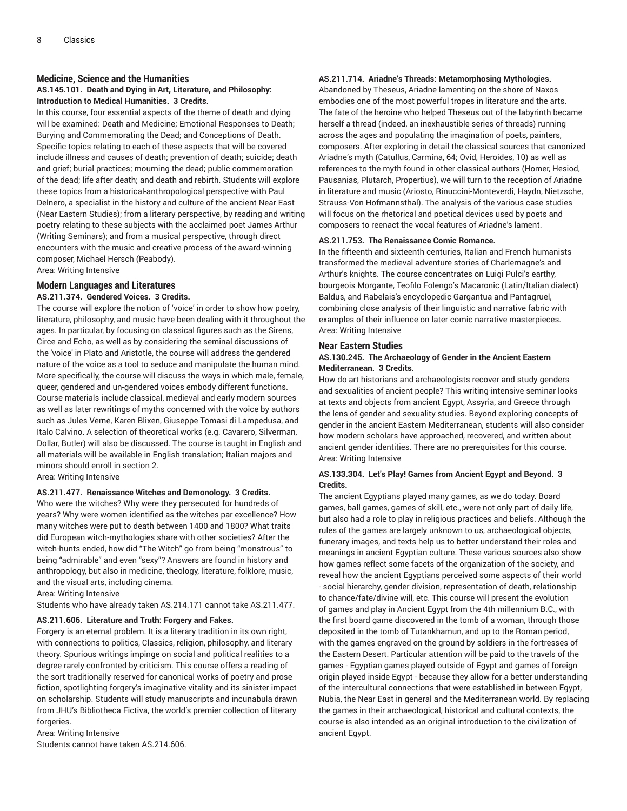#### **Medicine, Science and the Humanities**

## **AS.145.101. Death and Dying in Art, Literature, and Philosophy: Introduction to Medical Humanities. 3 Credits.**

In this course, four essential aspects of the theme of death and dying will be examined: Death and Medicine; Emotional Responses to Death; Burying and Commemorating the Dead; and Conceptions of Death. Specific topics relating to each of these aspects that will be covered include illness and causes of death; prevention of death; suicide; death and grief; burial practices; mourning the dead; public commemoration of the dead; life after death; and death and rebirth. Students will explore these topics from a historical-anthropological perspective with Paul Delnero, a specialist in the history and culture of the ancient Near East (Near Eastern Studies); from a literary perspective, by reading and writing poetry relating to these subjects with the acclaimed poet James Arthur (Writing Seminars); and from a musical perspective, through direct encounters with the music and creative process of the award-winning composer, Michael Hersch (Peabody).

Area: Writing Intensive

## **Modern Languages and Literatures**

#### **AS.211.374. Gendered Voices. 3 Credits.**

The course will explore the notion of 'voice' in order to show how poetry, literature, philosophy, and music have been dealing with it throughout the ages. In particular, by focusing on classical figures such as the Sirens, Circe and Echo, as well as by considering the seminal discussions of the 'voice' in Plato and Aristotle, the course will address the gendered nature of the voice as a tool to seduce and manipulate the human mind. More specifically, the course will discuss the ways in which male, female, queer, gendered and un-gendered voices embody different functions. Course materials include classical, medieval and early modern sources as well as later rewritings of myths concerned with the voice by authors such as Jules Verne, Karen Blixen, Giuseppe Tomasi di Lampedusa, and Italo Calvino. A selection of theoretical works (e.g. Cavarero, Silverman, Dollar, Butler) will also be discussed. The course is taught in English and all materials will be available in English translation; Italian majors and minors should enroll in section 2.

Area: Writing Intensive

## **AS.211.477. Renaissance Witches and Demonology. 3 Credits.**

Who were the witches? Why were they persecuted for hundreds of years? Why were women identified as the witches par excellence? How many witches were put to death between 1400 and 1800? What traits did European witch-mythologies share with other societies? After the witch-hunts ended, how did "The Witch" go from being "monstrous" to being "admirable" and even "sexy"? Answers are found in history and anthropology, but also in medicine, theology, literature, folklore, music, and the visual arts, including cinema.

Area: Writing Intensive

Students who have already taken AS.214.171 cannot take AS.211.477.

#### **AS.211.606. Literature and Truth: Forgery and Fakes.**

Forgery is an eternal problem. It is a literary tradition in its own right, with connections to politics, Classics, religion, philosophy, and literary theory. Spurious writings impinge on social and political realities to a degree rarely confronted by criticism. This course offers a reading of the sort traditionally reserved for canonical works of poetry and prose fiction, spotlighting forgery's imaginative vitality and its sinister impact on scholarship. Students will study manuscripts and incunabula drawn from JHU's Bibliotheca Fictiva, the world's premier collection of literary forgeries.

Area: Writing Intensive Students cannot have taken AS.214.606.

#### **AS.211.714. Ariadne's Threads: Metamorphosing Mythologies.**

Abandoned by Theseus, Ariadne lamenting on the shore of Naxos embodies one of the most powerful tropes in literature and the arts. The fate of the heroine who helped Theseus out of the labyrinth became herself a thread (indeed, an inexhaustible series of threads) running across the ages and populating the imagination of poets, painters, composers. After exploring in detail the classical sources that canonized Ariadne's myth (Catullus, Carmina, 64; Ovid, Heroides, 10) as well as references to the myth found in other classical authors (Homer, Hesiod, Pausanias, Plutarch, Propertius), we will turn to the reception of Ariadne in literature and music (Ariosto, Rinuccini-Monteverdi, Haydn, Nietzsche, Strauss-Von Hofmannsthal). The analysis of the various case studies will focus on the rhetorical and poetical devices used by poets and composers to reenact the vocal features of Ariadne's lament.

#### **AS.211.753. The Renaissance Comic Romance.**

In the fifteenth and sixteenth centuries, Italian and French humanists transformed the medieval adventure stories of Charlemagne's and Arthur's knights. The course concentrates on Luigi Pulci's earthy, bourgeois Morgante, Teofilo Folengo's Macaronic (Latin/Italian dialect) Baldus, and Rabelais's encyclopedic Gargantua and Pantagruel, combining close analysis of their linguistic and narrative fabric with examples of their influence on later comic narrative masterpieces. Area: Writing Intensive

#### **Near Eastern Studies**

## **AS.130.245. The Archaeology of Gender in the Ancient Eastern Mediterranean. 3 Credits.**

How do art historians and archaeologists recover and study genders and sexualities of ancient people? This writing-intensive seminar looks at texts and objects from ancient Egypt, Assyria, and Greece through the lens of gender and sexuality studies. Beyond exploring concepts of gender in the ancient Eastern Mediterranean, students will also consider how modern scholars have approached, recovered, and written about ancient gender identities. There are no prerequisites for this course. Area: Writing Intensive

## **AS.133.304. Let's Play! Games from Ancient Egypt and Beyond. 3 Credits.**

The ancient Egyptians played many games, as we do today. Board games, ball games, games of skill, etc., were not only part of daily life, but also had a role to play in religious practices and beliefs. Although the rules of the games are largely unknown to us, archaeological objects, funerary images, and texts help us to better understand their roles and meanings in ancient Egyptian culture. These various sources also show how games reflect some facets of the organization of the society, and reveal how the ancient Egyptians perceived some aspects of their world - social hierarchy, gender division, representation of death, relationship to chance/fate/divine will, etc. This course will present the evolution of games and play in Ancient Egypt from the 4th millennium B.C., with the first board game discovered in the tomb of a woman, through those deposited in the tomb of Tutankhamun, and up to the Roman period, with the games engraved on the ground by soldiers in the fortresses of the Eastern Desert. Particular attention will be paid to the travels of the games - Egyptian games played outside of Egypt and games of foreign origin played inside Egypt - because they allow for a better understanding of the intercultural connections that were established in between Egypt, Nubia, the Near East in general and the Mediterranean world. By replacing the games in their archaeological, historical and cultural contexts, the course is also intended as an original introduction to the civilization of ancient Egypt.